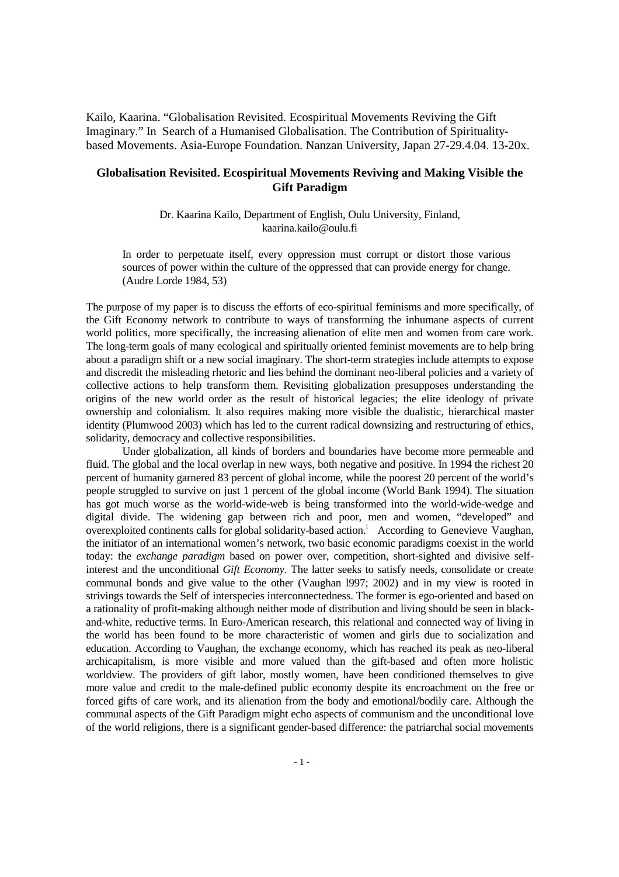Kailo, Kaarina. "Globalisation Revisited. Ecospiritual Movements Reviving the Gift Imaginary." In Search of a Humanised Globalisation. The Contribution of Spiritualitybased Movements. Asia-Europe Foundation. Nanzan University, Japan 27-29.4.04. 13-20x.

# **Globalisation Revisited. Ecospiritual Movements Reviving and Making Visible the Gift Paradigm**

Dr. Kaarina Kailo, Department of English, Oulu University, Finland, kaarina.kailo@oulu.fi

 In order to perpetuate itself, every oppression must corrupt or distort those various sources of power within the culture of the oppressed that can provide energy for change. (Audre Lorde 1984, 53)

The purpose of my paper is to discuss the efforts of eco-spiritual feminisms and more specifically, of the Gift Economy network to contribute to ways of transforming the inhumane aspects of current world politics, more specifically, the increasing alienation of elite men and women from care work. The long-term goals of many ecological and spiritually oriented feminist movements are to help bring about a paradigm shift or a new social imaginary. The short-term strategies include attempts to expose and discredit the misleading rhetoric and lies behind the dominant neo-liberal policies and a variety of collective actions to help transform them. Revisiting globalization presupposes understanding the origins of the new world order as the result of historical legacies; the elite ideology of private ownership and colonialism. It also requires making more visible the dualistic, hierarchical master identity (Plumwood 2003) which has led to the current radical downsizing and restructuring of ethics, solidarity, democracy and collective responsibilities.

 Under globalization, all kinds of borders and boundaries have become more permeable and fluid. The global and the local overlap in new ways, both negative and positive. In 1994 the richest 20 percent of humanity garnered 83 percent of global income, while the poorest 20 percent of the world's people struggled to survive on just 1 percent of the global income (World Bank 1994). The situation has got much worse as the world-wide-web is being transformed into the world-wide-wedge and digital divide. The widening gap between rich and poor, men and women, "developed" and overexploited continents calls for global solidarity-based action.<sup>1</sup> According to Genevieve Vaughan, the initiator of an international women's network, two basic economic paradigms coexist in the world today: the *exchange paradigm* based on power over, competition, short-sighted and divisive selfinterest and the unconditional *Gift Economy.* The latter seeks to satisfy needs, consolidate or create communal bonds and give value to the other (Vaughan l997; 2002) and in my view is rooted in strivings towards the Self of interspecies interconnectedness. The former is ego-oriented and based on a rationality of profit-making although neither mode of distribution and living should be seen in blackand-white, reductive terms. In Euro-American research, this relational and connected way of living in the world has been found to be more characteristic of women and girls due to socialization and education. According to Vaughan, the exchange economy, which has reached its peak as neo-liberal archicapitalism, is more visible and more valued than the gift-based and often more holistic worldview. The providers of gift labor, mostly women, have been conditioned themselves to give more value and credit to the male-defined public economy despite its encroachment on the free or forced gifts of care work, and its alienation from the body and emotional/bodily care. Although the communal aspects of the Gift Paradigm might echo aspects of communism and the unconditional love of the world religions, there is a significant gender-based difference: the patriarchal social movements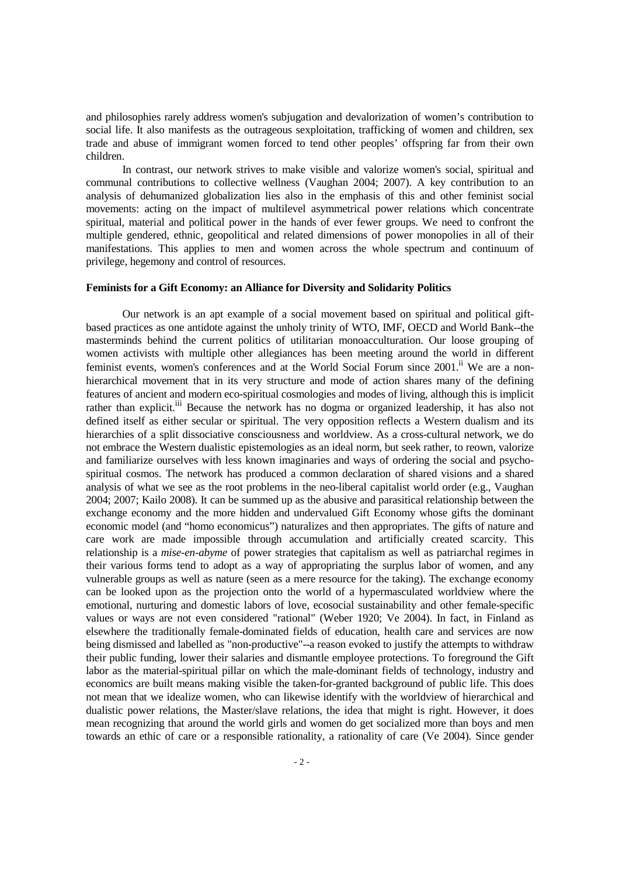and philosophies rarely address women's subjugation and devalorization of women's contribution to social life. It also manifests as the outrageous sexploitation, trafficking of women and children, sex trade and abuse of immigrant women forced to tend other peoples' offspring far from their own children.

 In contrast, our network strives to make visible and valorize women's social, spiritual and communal contributions to collective wellness (Vaughan 2004; 2007). A key contribution to an analysis of dehumanized globalization lies also in the emphasis of this and other feminist social movements: acting on the impact of multilevel asymmetrical power relations which concentrate spiritual, material and political power in the hands of ever fewer groups. We need to confront the multiple gendered, ethnic, geopolitical and related dimensions of power monopolies in all of their manifestations. This applies to men and women across the whole spectrum and continuum of privilege, hegemony and control of resources.

#### **Feminists for a Gift Economy: an Alliance for Diversity and Solidarity Politics**

 Our network is an apt example of a social movement based on spiritual and political giftbased practices as one antidote against the unholy trinity of WTO, IMF, OECD and World Bank--the masterminds behind the current politics of utilitarian monoacculturation. Our loose grouping of women activists with multiple other allegiances has been meeting around the world in different feminist events, women's conferences and at the World Social Forum since 2001.<sup>ii</sup> We are a nonhierarchical movement that in its very structure and mode of action shares many of the defining features of ancient and modern eco-spiritual cosmologies and modes of living, although this is implicit rather than explicit.<sup>iii</sup> Because the network has no dogma or organized leadership, it has also not defined itself as either secular or spiritual. The very opposition reflects a Western dualism and its hierarchies of a split dissociative consciousness and worldview. As a cross-cultural network, we do not embrace the Western dualistic epistemologies as an ideal norm, but seek rather, to reown, valorize and familiarize ourselves with less known imaginaries and ways of ordering the social and psychospiritual cosmos. The network has produced a common declaration of shared visions and a shared analysis of what we see as the root problems in the neo-liberal capitalist world order (e.g., Vaughan 2004; 2007; Kailo 2008). It can be summed up as the abusive and parasitical relationship between the exchange economy and the more hidden and undervalued Gift Economy whose gifts the dominant economic model (and "homo economicus") naturalizes and then appropriates. The gifts of nature and care work are made impossible through accumulation and artificially created scarcity. This relationship is a *mise-en-abyme* of power strategies that capitalism as well as patriarchal regimes in their various forms tend to adopt as a way of appropriating the surplus labor of women, and any vulnerable groups as well as nature (seen as a mere resource for the taking). The exchange economy can be looked upon as the projection onto the world of a hypermasculated worldview where the emotional, nurturing and domestic labors of love, ecosocial sustainability and other female-specific values or ways are not even considered "rational" (Weber 1920; Ve 2004). In fact, in Finland as elsewhere the traditionally female-dominated fields of education, health care and services are now being dismissed and labelled as "non-productive"--a reason evoked to justify the attempts to withdraw their public funding, lower their salaries and dismantle employee protections. To foreground the Gift labor as the material-spiritual pillar on which the male-dominant fields of technology, industry and economics are built means making visible the taken-for-granted background of public life. This does not mean that we idealize women, who can likewise identify with the worldview of hierarchical and dualistic power relations, the Master/slave relations, the idea that might is right. However, it does mean recognizing that around the world girls and women do get socialized more than boys and men towards an ethic of care or a responsible rationality, a rationality of care (Ve 2004). Since gender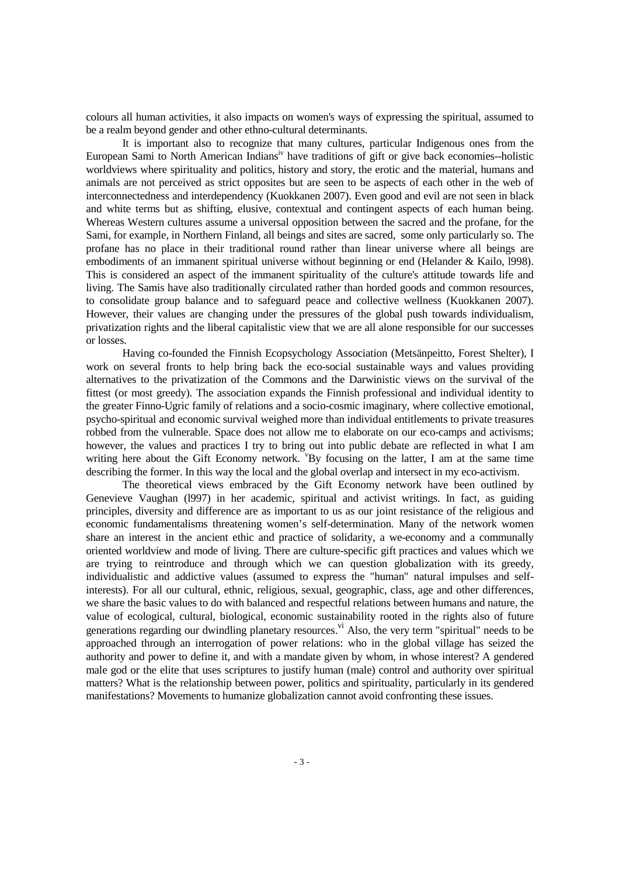colours all human activities, it also impacts on women's ways of expressing the spiritual, assumed to be a realm beyond gender and other ethno-cultural determinants.

 It is important also to recognize that many cultures, particular Indigenous ones from the European Sami to North American Indians<sup>iv</sup> have traditions of gift or give back economies--holistic worldviews where spirituality and politics, history and story, the erotic and the material, humans and animals are not perceived as strict opposites but are seen to be aspects of each other in the web of interconnectedness and interdependency (Kuokkanen 2007). Even good and evil are not seen in black and white terms but as shifting, elusive, contextual and contingent aspects of each human being. Whereas Western cultures assume a universal opposition between the sacred and the profane, for the Sami, for example, in Northern Finland, all beings and sites are sacred, some only particularly so. The profane has no place in their traditional round rather than linear universe where all beings are embodiments of an immanent spiritual universe without beginning or end (Helander & Kailo, l998). This is considered an aspect of the immanent spirituality of the culture's attitude towards life and living. The Samis have also traditionally circulated rather than horded goods and common resources, to consolidate group balance and to safeguard peace and collective wellness (Kuokkanen 2007). However, their values are changing under the pressures of the global push towards individualism, privatization rights and the liberal capitalistic view that we are all alone responsible for our successes or losses.

 Having co-founded the Finnish Ecopsychology Association (Metsänpeitto, Forest Shelter), I work on several fronts to help bring back the eco-social sustainable ways and values providing alternatives to the privatization of the Commons and the Darwinistic views on the survival of the fittest (or most greedy). The association expands the Finnish professional and individual identity to the greater Finno-Ugric family of relations and a socio-cosmic imaginary, where collective emotional, psycho-spiritual and economic survival weighed more than individual entitlements to private treasures robbed from the vulnerable. Space does not allow me to elaborate on our eco-camps and activisms; however, the values and practices I try to bring out into public debate are reflected in what I am writing here about the Gift Economy network. <sup>"</sup>By focusing on the latter, I am at the same time describing the former. In this way the local and the global overlap and intersect in my eco-activism.

 The theoretical views embraced by the Gift Economy network have been outlined by Genevieve Vaughan (l997) in her academic, spiritual and activist writings. In fact, as guiding principles, diversity and difference are as important to us as our joint resistance of the religious and economic fundamentalisms threatening women's self-determination. Many of the network women share an interest in the ancient ethic and practice of solidarity, a we-economy and a communally oriented worldview and mode of living. There are culture-specific gift practices and values which we are trying to reintroduce and through which we can question globalization with its greedy, individualistic and addictive values (assumed to express the "human" natural impulses and selfinterests). For all our cultural, ethnic, religious, sexual, geographic, class, age and other differences, we share the basic values to do with balanced and respectful relations between humans and nature, the value of ecological, cultural, biological, economic sustainability rooted in the rights also of future generations regarding our dwindling planetary resources.<sup>vi</sup> Also, the very term "spiritual" needs to be approached through an interrogation of power relations: who in the global village has seized the authority and power to define it, and with a mandate given by whom, in whose interest? A gendered male god or the elite that uses scriptures to justify human (male) control and authority over spiritual matters? What is the relationship between power, politics and spirituality, particularly in its gendered manifestations? Movements to humanize globalization cannot avoid confronting these issues.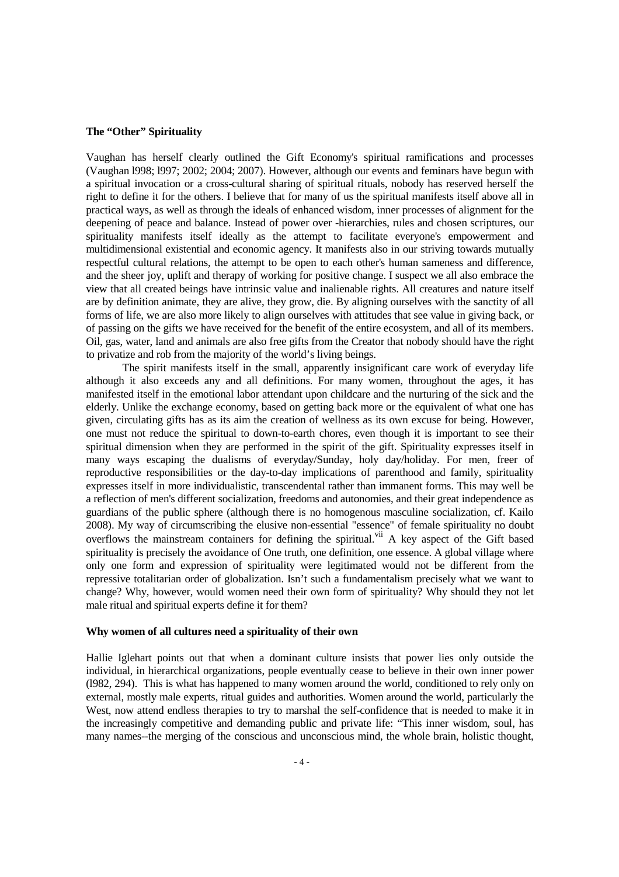## **The "Other" Spirituality**

Vaughan has herself clearly outlined the Gift Economy's spiritual ramifications and processes (Vaughan l998; l997; 2002; 2004; 2007). However, although our events and feminars have begun with a spiritual invocation or a cross-cultural sharing of spiritual rituals, nobody has reserved herself the right to define it for the others. I believe that for many of us the spiritual manifests itself above all in practical ways, as well as through the ideals of enhanced wisdom, inner processes of alignment for the deepening of peace and balance. Instead of power over -hierarchies, rules and chosen scriptures, our spirituality manifests itself ideally as the attempt to facilitate everyone's empowerment and multidimensional existential and economic agency. It manifests also in our striving towards mutually respectful cultural relations, the attempt to be open to each other's human sameness and difference, and the sheer joy, uplift and therapy of working for positive change. I suspect we all also embrace the view that all created beings have intrinsic value and inalienable rights. All creatures and nature itself are by definition animate, they are alive, they grow, die. By aligning ourselves with the sanctity of all forms of life, we are also more likely to align ourselves with attitudes that see value in giving back, or of passing on the gifts we have received for the benefit of the entire ecosystem, and all of its members. Oil, gas, water, land and animals are also free gifts from the Creator that nobody should have the right to privatize and rob from the majority of the world's living beings.

 The spirit manifests itself in the small, apparently insignificant care work of everyday life although it also exceeds any and all definitions. For many women, throughout the ages, it has manifested itself in the emotional labor attendant upon childcare and the nurturing of the sick and the elderly. Unlike the exchange economy, based on getting back more or the equivalent of what one has given, circulating gifts has as its aim the creation of wellness as its own excuse for being. However, one must not reduce the spiritual to down-to-earth chores, even though it is important to see their spiritual dimension when they are performed in the spirit of the gift. Spirituality expresses itself in many ways escaping the dualisms of everyday/Sunday, holy day/holiday. For men, freer of reproductive responsibilities or the day-to-day implications of parenthood and family, spirituality expresses itself in more individualistic, transcendental rather than immanent forms. This may well be a reflection of men's different socialization, freedoms and autonomies, and their great independence as guardians of the public sphere (although there is no homogenous masculine socialization, cf. Kailo 2008). My way of circumscribing the elusive non-essential "essence" of female spirituality no doubt overflows the mainstream containers for defining the spiritual.<sup>vii</sup> A key aspect of the Gift based spirituality is precisely the avoidance of One truth, one definition, one essence. A global village where only one form and expression of spirituality were legitimated would not be different from the repressive totalitarian order of globalization. Isn't such a fundamentalism precisely what we want to change? Why, however, would women need their own form of spirituality? Why should they not let male ritual and spiritual experts define it for them?

## **Why women of all cultures need a spirituality of their own**

Hallie Iglehart points out that when a dominant culture insists that power lies only outside the individual, in hierarchical organizations, people eventually cease to believe in their own inner power (l982, 294). This is what has happened to many women around the world, conditioned to rely only on external, mostly male experts, ritual guides and authorities. Women around the world, particularly the West, now attend endless therapies to try to marshal the self-confidence that is needed to make it in the increasingly competitive and demanding public and private life: "This inner wisdom, soul, has many names--the merging of the conscious and unconscious mind, the whole brain, holistic thought,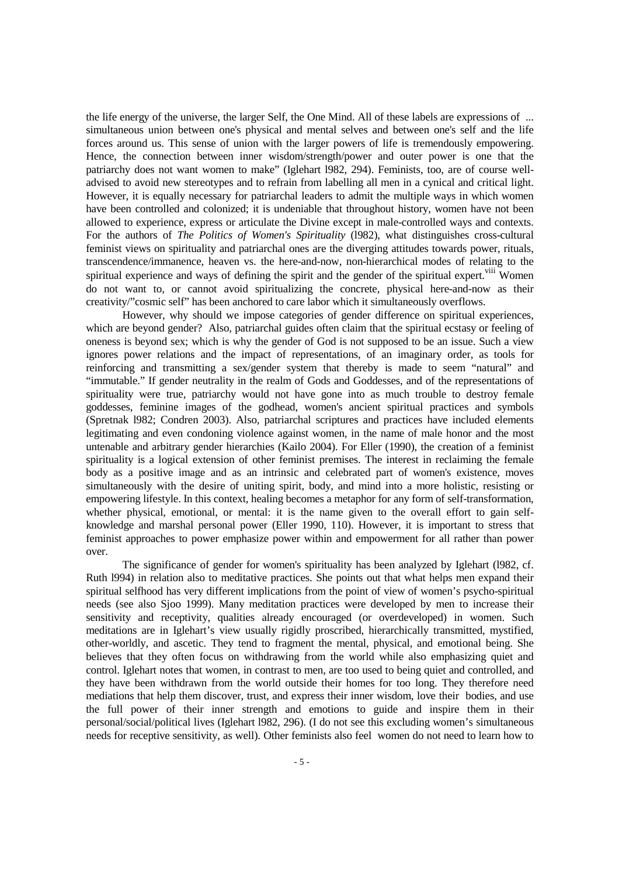the life energy of the universe, the larger Self, the One Mind. All of these labels are expressions of ... simultaneous union between one's physical and mental selves and between one's self and the life forces around us. This sense of union with the larger powers of life is tremendously empowering. Hence, the connection between inner wisdom/strength/power and outer power is one that the patriarchy does not want women to make" (Iglehart l982, 294). Feminists, too, are of course welladvised to avoid new stereotypes and to refrain from labelling all men in a cynical and critical light. However, it is equally necessary for patriarchal leaders to admit the multiple ways in which women have been controlled and colonized; it is undeniable that throughout history, women have not been allowed to experience, express or articulate the Divine except in male-controlled ways and contexts. For the authors of *The Politics of Women's Spirituality* (l982), what distinguishes cross-cultural feminist views on spirituality and patriarchal ones are the diverging attitudes towards power, rituals, transcendence/immanence, heaven vs. the here-and-now, non-hierarchical modes of relating to the spiritual experience and ways of defining the spirit and the gender of the spiritual expert. Villement do not want to, or cannot avoid spiritualizing the concrete, physical here-and-now as their creativity/"cosmic self" has been anchored to care labor which it simultaneously overflows.

 However, why should we impose categories of gender difference on spiritual experiences, which are beyond gender? Also, patriarchal guides often claim that the spiritual ecstasy or feeling of oneness is beyond sex; which is why the gender of God is not supposed to be an issue. Such a view ignores power relations and the impact of representations, of an imaginary order, as tools for reinforcing and transmitting a sex/gender system that thereby is made to seem "natural" and "immutable." If gender neutrality in the realm of Gods and Goddesses, and of the representations of spirituality were true, patriarchy would not have gone into as much trouble to destroy female goddesses, feminine images of the godhead, women's ancient spiritual practices and symbols (Spretnak l982; Condren 2003). Also, patriarchal scriptures and practices have included elements legitimating and even condoning violence against women, in the name of male honor and the most untenable and arbitrary gender hierarchies (Kailo 2004). For Eller (1990), the creation of a feminist spirituality is a logical extension of other feminist premises. The interest in reclaiming the female body as a positive image and as an intrinsic and celebrated part of women's existence, moves simultaneously with the desire of uniting spirit, body, and mind into a more holistic, resisting or empowering lifestyle. In this context, healing becomes a metaphor for any form of self-transformation, whether physical, emotional, or mental; it is the name given to the overall effort to gain selfknowledge and marshal personal power (Eller 1990, 110). However, it is important to stress that feminist approaches to power emphasize power within and empowerment for all rather than power over.

 The significance of gender for women's spirituality has been analyzed by Iglehart (l982, cf. Ruth l994) in relation also to meditative practices. She points out that what helps men expand their spiritual selfhood has very different implications from the point of view of women's psycho-spiritual needs (see also Sjoo 1999). Many meditation practices were developed by men to increase their sensitivity and receptivity, qualities already encouraged (or overdeveloped) in women. Such meditations are in Iglehart's view usually rigidly proscribed, hierarchically transmitted, mystified, other-worldly, and ascetic. They tend to fragment the mental, physical, and emotional being. She believes that they often focus on withdrawing from the world while also emphasizing quiet and control. Iglehart notes that women, in contrast to men, are too used to being quiet and controlled, and they have been withdrawn from the world outside their homes for too long. They therefore need mediations that help them discover, trust, and express their inner wisdom, love their bodies, and use the full power of their inner strength and emotions to guide and inspire them in their personal/social/political lives (Iglehart l982, 296). (I do not see this excluding women's simultaneous needs for receptive sensitivity, as well). Other feminists also feel women do not need to learn how to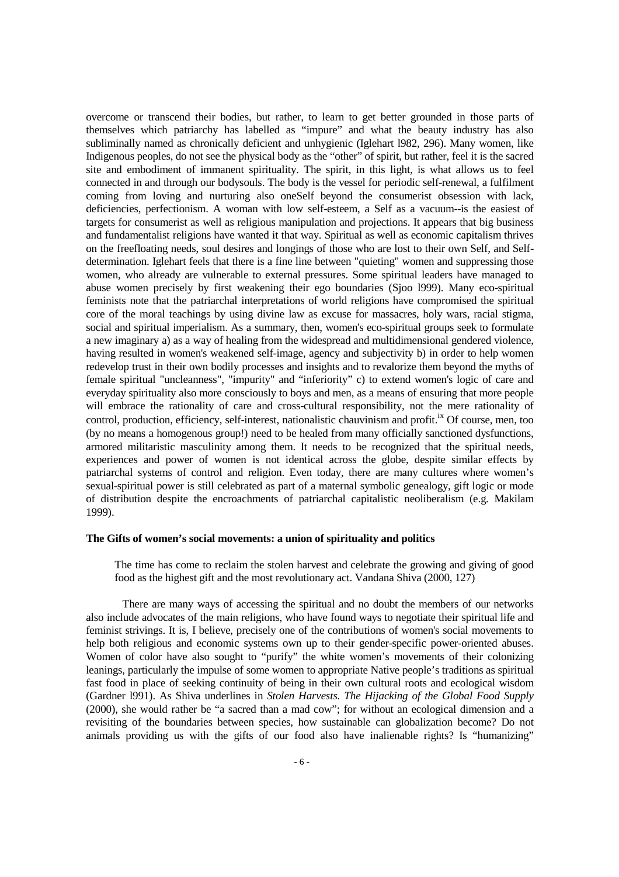overcome or transcend their bodies, but rather, to learn to get better grounded in those parts of themselves which patriarchy has labelled as "impure" and what the beauty industry has also subliminally named as chronically deficient and unhygienic (Iglehart l982, 296). Many women, like Indigenous peoples, do not see the physical body as the "other" of spirit, but rather, feel it is the sacred site and embodiment of immanent spirituality. The spirit, in this light, is what allows us to feel connected in and through our bodysouls. The body is the vessel for periodic self-renewal, a fulfilment coming from loving and nurturing also oneSelf beyond the consumerist obsession with lack, deficiencies, perfectionism. A woman with low self-esteem, a Self as a vacuum--is the easiest of targets for consumerist as well as religious manipulation and projections. It appears that big business and fundamentalist religions have wanted it that way. Spiritual as well as economic capitalism thrives on the freefloating needs, soul desires and longings of those who are lost to their own Self, and Selfdetermination. Iglehart feels that there is a fine line between "quieting" women and suppressing those women, who already are vulnerable to external pressures. Some spiritual leaders have managed to abuse women precisely by first weakening their ego boundaries (Sjoo l999). Many eco-spiritual feminists note that the patriarchal interpretations of world religions have compromised the spiritual core of the moral teachings by using divine law as excuse for massacres, holy wars, racial stigma, social and spiritual imperialism. As a summary, then, women's eco-spiritual groups seek to formulate a new imaginary a) as a way of healing from the widespread and multidimensional gendered violence, having resulted in women's weakened self-image, agency and subjectivity b) in order to help women redevelop trust in their own bodily processes and insights and to revalorize them beyond the myths of female spiritual "uncleanness", "impurity" and "inferiority" c) to extend women's logic of care and everyday spirituality also more consciously to boys and men, as a means of ensuring that more people will embrace the rationality of care and cross-cultural responsibility, not the mere rationality of control, production, efficiency, self-interest, nationalistic chauvinism and profit.<sup>ix</sup> Of course, men, too (by no means a homogenous group!) need to be healed from many officially sanctioned dysfunctions, armored militaristic masculinity among them. It needs to be recognized that the spiritual needs, experiences and power of women is not identical across the globe, despite similar effects by patriarchal systems of control and religion. Even today, there are many cultures where women's sexual-spiritual power is still celebrated as part of a maternal symbolic genealogy, gift logic or mode of distribution despite the encroachments of patriarchal capitalistic neoliberalism (e.g. Makilam 1999).

### **The Gifts of women's social movements: a union of spirituality and politics**

 The time has come to reclaim the stolen harvest and celebrate the growing and giving of good food as the highest gift and the most revolutionary act. Vandana Shiva (2000, 127)

 There are many ways of accessing the spiritual and no doubt the members of our networks also include advocates of the main religions, who have found ways to negotiate their spiritual life and feminist strivings. It is, I believe, precisely one of the contributions of women's social movements to help both religious and economic systems own up to their gender-specific power-oriented abuses. Women of color have also sought to "purify" the white women's movements of their colonizing leanings, particularly the impulse of some women to appropriate Native people's traditions as spiritual fast food in place of seeking continuity of being in their own cultural roots and ecological wisdom (Gardner l991). As Shiva underlines in *Stolen Harvests. The Hijacking of the Global Food Supply* (2000), she would rather be "a sacred than a mad cow"; for without an ecological dimension and a revisiting of the boundaries between species, how sustainable can globalization become? Do not animals providing us with the gifts of our food also have inalienable rights? Is "humanizing"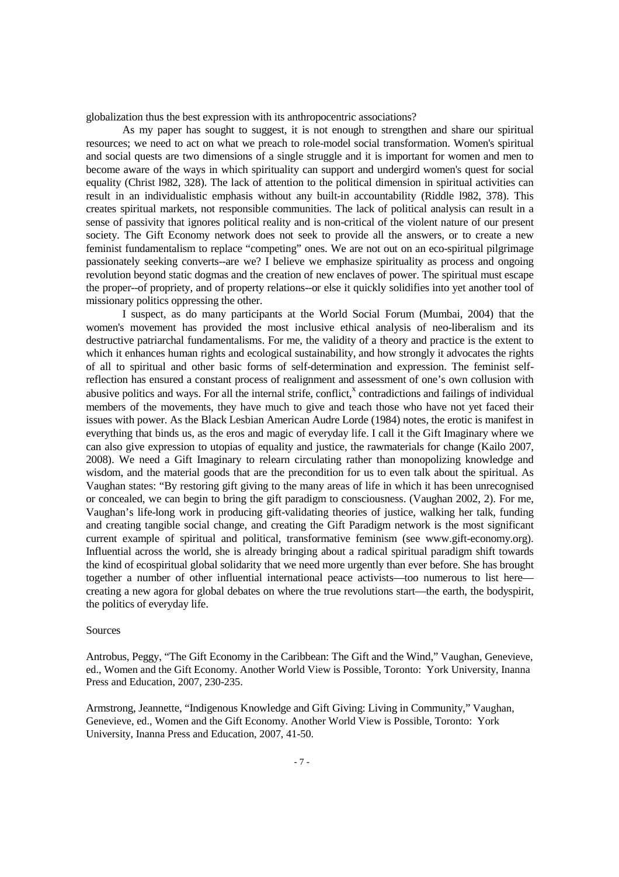globalization thus the best expression with its anthropocentric associations?

 As my paper has sought to suggest, it is not enough to strengthen and share our spiritual resources; we need to act on what we preach to role-model social transformation. Women's spiritual and social quests are two dimensions of a single struggle and it is important for women and men to become aware of the ways in which spirituality can support and undergird women's quest for social equality (Christ l982, 328). The lack of attention to the political dimension in spiritual activities can result in an individualistic emphasis without any built-in accountability (Riddle l982, 378). This creates spiritual markets, not responsible communities. The lack of political analysis can result in a sense of passivity that ignores political reality and is non-critical of the violent nature of our present society. The Gift Economy network does not seek to provide all the answers, or to create a new feminist fundamentalism to replace "competing" ones. We are not out on an eco-spiritual pilgrimage passionately seeking converts--are we? I believe we emphasize spirituality as process and ongoing revolution beyond static dogmas and the creation of new enclaves of power. The spiritual must escape the proper--of propriety, and of property relations--or else it quickly solidifies into yet another tool of missionary politics oppressing the other.

 I suspect, as do many participants at the World Social Forum (Mumbai, 2004) that the women's movement has provided the most inclusive ethical analysis of neo-liberalism and its destructive patriarchal fundamentalisms. For me, the validity of a theory and practice is the extent to which it enhances human rights and ecological sustainability, and how strongly it advocates the rights of all to spiritual and other basic forms of self-determination and expression. The feminist selfreflection has ensured a constant process of realignment and assessment of one's own collusion with abusive politics and ways. For all the internal strife, conflict, $^x$  contradictions and failings of individual members of the movements, they have much to give and teach those who have not yet faced their issues with power. As the Black Lesbian American Audre Lorde (1984) notes, the erotic is manifest in everything that binds us, as the eros and magic of everyday life. I call it the Gift Imaginary where we can also give expression to utopias of equality and justice, the rawmaterials for change (Kailo 2007, 2008). We need a Gift Imaginary to relearn circulating rather than monopolizing knowledge and wisdom, and the material goods that are the precondition for us to even talk about the spiritual. As Vaughan states: "By restoring gift giving to the many areas of life in which it has been unrecognised or concealed, we can begin to bring the gift paradigm to consciousness. (Vaughan 2002, 2). For me, Vaughan's life-long work in producing gift-validating theories of justice, walking her talk, funding and creating tangible social change, and creating the Gift Paradigm network is the most significant current example of spiritual and political, transformative feminism (see www.gift-economy.org). Influential across the world, she is already bringing about a radical spiritual paradigm shift towards the kind of ecospiritual global solidarity that we need more urgently than ever before. She has brought together a number of other influential international peace activists—too numerous to list here creating a new agora for global debates on where the true revolutions start—the earth, the bodyspirit, the politics of everyday life.

#### Sources

Antrobus, Peggy, "The Gift Economy in the Caribbean: The Gift and the Wind," Vaughan, Genevieve, ed., Women and the Gift Economy. Another World View is Possible, Toronto: York University, Inanna Press and Education, 2007, 230-235.

Armstrong, Jeannette, "Indigenous Knowledge and Gift Giving: Living in Community," Vaughan, Genevieve, ed., Women and the Gift Economy. Another World View is Possible, Toronto: York University, Inanna Press and Education, 2007, 41-50.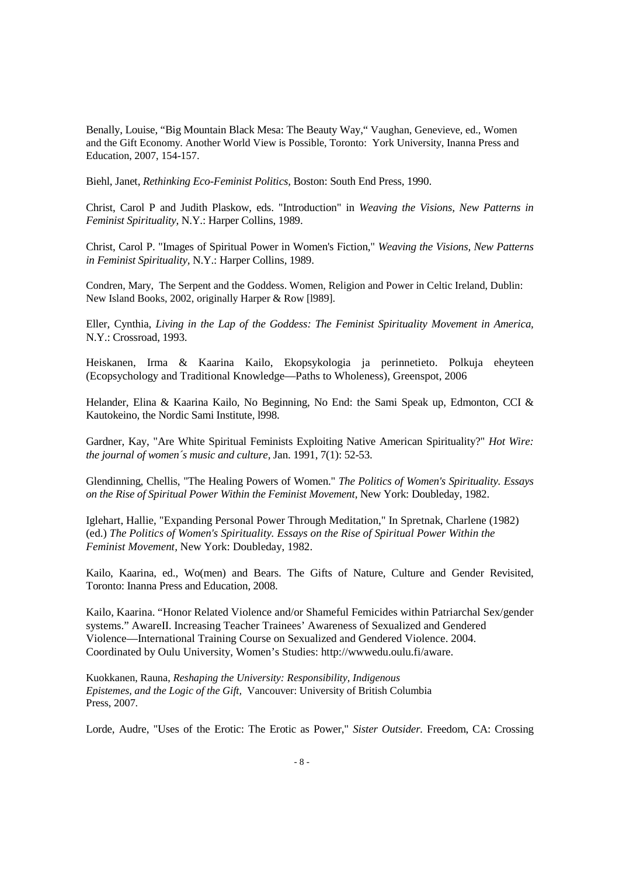Benally, Louise, "Big Mountain Black Mesa: The Beauty Way," Vaughan, Genevieve, ed., Women and the Gift Economy. Another World View is Possible, Toronto: York University, Inanna Press and Education, 2007, 154-157.

Biehl, Janet, *Rethinking Eco-Feminist Politics,* Boston: South End Press, 1990.

Christ, Carol P and Judith Plaskow, eds. "Introduction" in *Weaving the Visions, New Patterns in Feminist Spirituality,* N.Y.: Harper Collins, 1989.

Christ, Carol P. "Images of Spiritual Power in Women's Fiction," *Weaving the Visions, New Patterns in Feminist Spirituality,* N.Y.: Harper Collins, 1989.

Condren, Mary, The Serpent and the Goddess. Women, Religion and Power in Celtic Ireland, Dublin: New Island Books, 2002, originally Harper & Row [l989].

Eller, Cynthia, *Living in the Lap of the Goddess: The Feminist Spirituality Movement in America,* N.Y.: Crossroad, 1993.

Heiskanen, Irma & Kaarina Kailo, Ekopsykologia ja perinnetieto. Polkuja eheyteen (Ecopsychology and Traditional Knowledge—Paths to Wholeness), Greenspot, 2006

Helander, Elina & Kaarina Kailo, No Beginning, No End: the Sami Speak up, Edmonton, CCI & Kautokeino, the Nordic Sami Institute, l998.

Gardner, Kay, "Are White Spiritual Feminists Exploiting Native American Spirituality?" *Hot Wire: the journal of women´s music and culture,* Jan. 1991, 7(1): 52-53.

Glendinning, Chellis, "The Healing Powers of Women." *The Politics of Women's Spirituality. Essays on the Rise of Spiritual Power Within the Feminist Movement,* New York: Doubleday, 1982.

Iglehart, Hallie, "Expanding Personal Power Through Meditation," In Spretnak, Charlene (1982) (ed.) *The Politics of Women's Spirituality. Essays on the Rise of Spiritual Power Within the Feminist Movement,* New York: Doubleday, 1982.

Kailo, Kaarina, ed., Wo(men) and Bears. The Gifts of Nature, Culture and Gender Revisited, Toronto: Inanna Press and Education, 2008.

Kailo, Kaarina. "Honor Related Violence and/or Shameful Femicides within Patriarchal Sex/gender systems." AwareII. Increasing Teacher Trainees' Awareness of Sexualized and Gendered Violence—International Training Course on Sexualized and Gendered Violence. 2004. Coordinated by Oulu University, Women's Studies: http://wwwedu.oulu.fi/aware.

Kuokkanen, Rauna, *Reshaping the University: Responsibility, Indigenous Epistemes, and the Logic of the Gift,* Vancouver: University of British Columbia Press, 2007.

Lorde, Audre, "Uses of the Erotic: The Erotic as Power," *Sister Outsider.* Freedom, CA: Crossing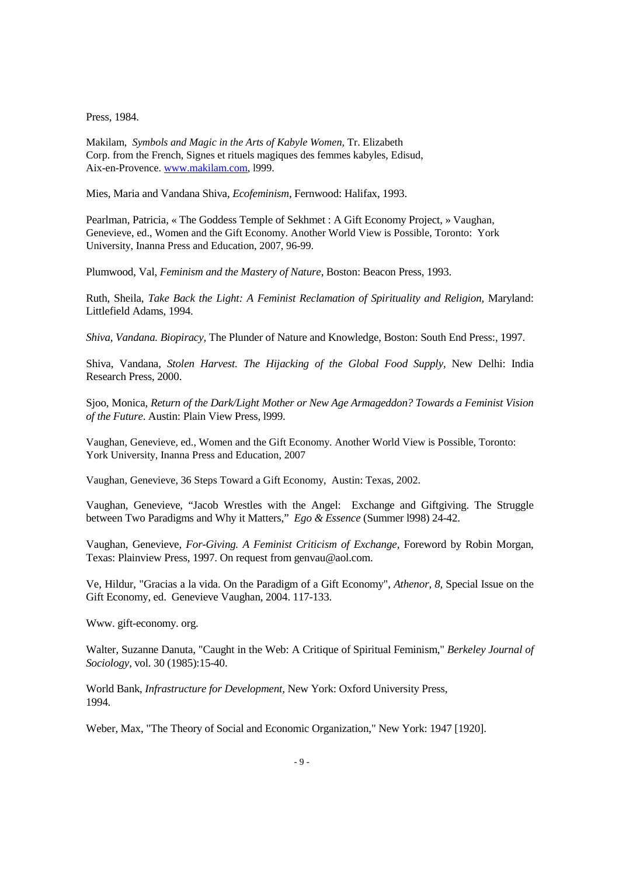Press, 1984.

Makilam, *Symbols and Magic in the Arts of Kabyle Women,* Tr. Elizabeth Corp. from the French, Signes et rituels magiques des femmes kabyles, Edisud, Aix-en-Provence. www.makilam.com, l999.

Mies, Maria and Vandana Shiva, *Ecofeminism,* Fernwood: Halifax, 1993.

Pearlman, Patricia, « The Goddess Temple of Sekhmet : A Gift Economy Project, » Vaughan, Genevieve, ed., Women and the Gift Economy. Another World View is Possible, Toronto: York University, Inanna Press and Education, 2007, 96-99.

Plumwood, Val, *Feminism and the Mastery of Nature,* Boston: Beacon Press, 1993.

Ruth, Sheila, *Take Back the Light: A Feminist Reclamation of Spirituality and Religion,* Maryland: Littlefield Adams, 1994.

*Shiva, Vandana. Biopiracy,* The Plunder of Nature and Knowledge, Boston: South End Press:, 1997.

Shiva, Vandana, *Stolen Harvest. The Hijacking of the Global Food Supply,* New Delhi: India Research Press, 2000.

Sjoo, Monica, *Return of the Dark/Light Mother or New Age Armageddon? Towards a Feminist Vision of the Future*. Austin: Plain View Press, l999.

Vaughan, Genevieve, ed., Women and the Gift Economy. Another World View is Possible, Toronto: York University, Inanna Press and Education, 2007

Vaughan, Genevieve, 36 Steps Toward a Gift Economy, Austin: Texas, 2002.

Vaughan, Genevieve, "Jacob Wrestles with the Angel: Exchange and Giftgiving. The Struggle between Two Paradigms and Why it Matters," *Ego & Essence* (Summer l998) 24-42.

Vaughan, Genevieve, *For-Giving. A Feminist Criticism of Exchange,* Foreword by Robin Morgan, Texas: Plainview Press, 1997. On request from genvau@aol.com.

Ve, Hildur, "Gracias a la vida. On the Paradigm of a Gift Economy", *Athenor, 8,* Special Issue on the Gift Economy, ed. Genevieve Vaughan, 2004. 117-133.

Www. gift-economy. org.

Walter, Suzanne Danuta, "Caught in the Web: A Critique of Spiritual Feminism," *Berkeley Journal of Sociology,* vol. 30 (1985):15-40.

World Bank, *Infrastructure for Development,* New York: Oxford University Press, 1994.

Weber, Max, "The Theory of Social and Economic Organization," New York: 1947 [1920].